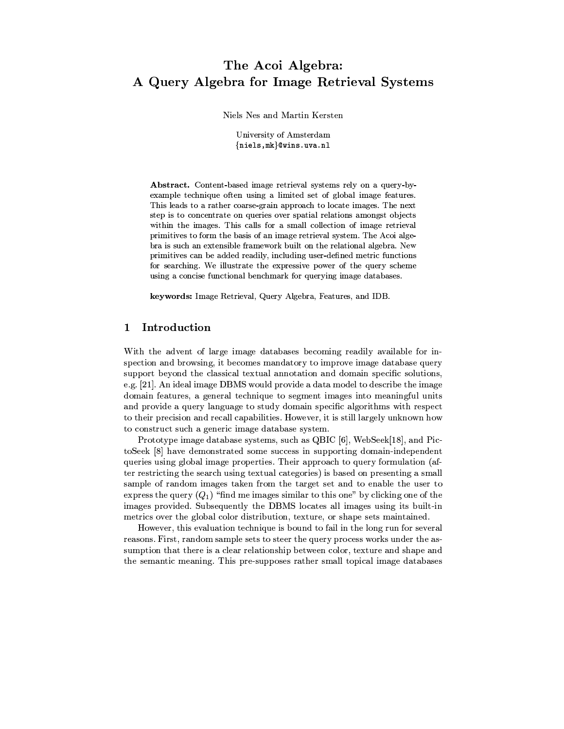# The Acoi Algebra: A Query Algebra for Image Retrieval Systems

Niels Nes and Martin Kersten

University of Amsterdam {niels, mk}@wins.uva.nl

Abstract. Content-based image retrieval systems rely on a query-byexample technique often using a limited set of global image features. This leads to a rather coarse-grain approach to locate images. The next step is to concentrate on queries over spatial relations amongst objects within the images. This calls for a small collection of image retrieval primitives to form the basis of an image retrieval system. The Acoi algebra is such an extensible framework built on the relational algebra. New primitives can be added readily, including user-defined metric functions for searching. We illustrate the expressive power of the query scheme using a concise functional benchmark for querying image databases.

keywords: Image Retrieval, Query Algebra, Features, and IDB.

### $\mathbf{1}$ Introduction

With the advent of large image databases becoming readily available for inspection and browsing, it becomes mandatory to improve image database query support beyond the classical textual annotation and domain specific solutions, e.g. [21]. An ideal image DBMS would provide a data model to describe the image domain features, a general technique to segment images into meaningful units and provide a query language to study domain specific algorithms with respect to their precision and recall capabilities. However, it is still largely unknown how to construct such a generic image database system.

Prototype image database systems, such as QBIC [6], WebSeek[18], and PictoSeek [8] have demonstrated some success in supporting domain-independent queries using global image properties. Their approach to query formulation (after restricting the search using textual categories) is based on presenting a small sample of random images taken from the target set and to enable the user to express the query  $(Q_1)$  "find me images similar to this one" by clicking one of the images provided. Subsequently the DBMS locates all images using its built-in metrics over the global color distribution, texture, or shape sets maintained.

However, this evaluation technique is bound to fail in the long run for several reasons. First, random sample sets to steer the query process works under the assumption that there is a clear relationship between color, texture and shape and the semantic meaning. This pre-supposes rather small topical image databases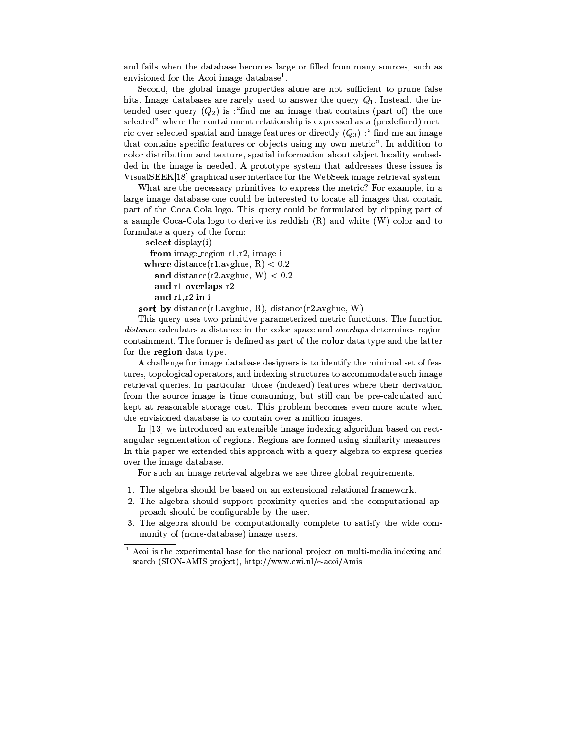and fails when the database becomes large or filled from many sources, such as envisioned for the Acoi image database<sup>1</sup>.

Second, the global image properties alone are not sufficient to prune false hits. Image databases are rarely used to answer the query  $Q_1$ . Instead, the intended user query  $(Q_2)$  is : "find me an image that contains (part of) the one selected" where the containment relationship is expressed as a (predefined) metric over selected spatial and image features or directly  $(Q_3)$ : "find me an image that contains specific features or objects using my own metric". In addition to color distribution and texture, spatial information about object locality embedded in the image is needed. A prototype system that addresses these issues is VisualSEEK[18] graphical user interface for the WebSeek image retrieval system.

What are the necessary primitives to express the metric? For example, in a large image database one could be interested to locate all images that contain part of the Coca-Cola logo. This query could be formulated by clipping part of a sample Coca-Cola logo to derive its reddish  $(R)$  and white  $(W)$  color and to formulate a query of the form:

select display(i)

from image\_region r1,r2, image i where distance(r1.avghue, R)  $< 0.2$ and distance( $r2$ .avghue,  $W$ ) < 0.2 and r1 overlaps r2 and r1,r2 in i

sort by distance( $r1$ .avghue, R), distance( $r2$ .avghue, W)

This query uses two primitive parameterized metric functions. The function *distance* calculates a distance in the color space and *overlaps* determines region containment. The former is defined as part of the color data type and the latter for the region data type.

A challenge for image database designers is to identify the minimal set of features, topological operators, and indexing structures to accommodate such image retrieval queries. In particular, those (indexed) features where their derivation from the source image is time consuming, but still can be pre-calculated and kept at reasonable storage cost. This problem becomes even more acute when the envisioned database is to contain over a million images.

In [13] we introduced an extensible image indexing algorithm based on rectangular segmentation of regions. Regions are formed using similarity measures. In this paper we extended this approach with a query algebra to express queries over the image database.

For such an image retrieval algebra we see three global requirements.

- 1. The algebra should be based on an extensional relational framework.
- 2. The algebra should support proximity queries and the computational approach should be configurable by the user.
- 3. The algebra should be computationally complete to satisfy the wide community of (none-database) image users.

 $1$  Acoi is the experimental base for the national project on multi-media indexing and search (SION-AMIS project), http://www.cwi.nl/~acoi/Amis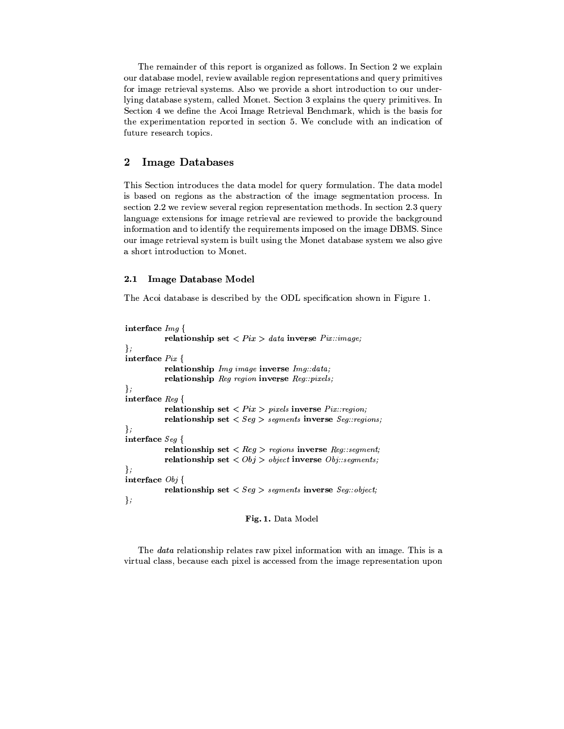The remainder of this report is organized as follows. In Section 2 we explain our database model, review available region representations and query primitives for image retrieval systems. Also we provide a short introduction to our underlying database system, called Monet. Section 3 explains the query primitives. In Section 4 we define the Acoi Image Retrieval Benchmark, which is the basis for the experimentation reported in section 5. We conclude with an indication of future research topics.

# $\boldsymbol{2}$ **Image Databases**

This Section introduces the data model for query formulation. The data model is based on regions as the abstraction of the image segmentation process. In section 2.2 we review several region representation methods. In section 2.3 query language extensions for image retrieval are reviewed to provide the background information and to identify the requirements imposed on the image DBMS. Since our image retrieval system is built using the Monet database system we also give a short introduction to Monet.

#### $2.1$ **Image Database Model**

The Acoi database is described by the ODL specification shown in Figure 1.

```
interface Img\{relationship set \langle \text{ }\textit{Fix}\text{ }\rangle data inverse \textit{Fix}::image;\cdotinterface Pix \{relationship Img image inverse Img.:data;
            relationship Reg region inverse Reg.: pixels;
\};
interface \text{Re}q \{relationship set \langle Pix \rangle pixels inverse Pix::region;relationship set \langle Seg \rangle segments inverse Seg: regions;
\cdotinterface Seg \{ }relationship set \langle Reg \rangle regions inverse Reg: segment;
             relationship set \langle Obj \rangle object inverse Obj::segments;\};
interface Obj {
            relationship set \langle Seg \rangle segments inverse Seg::object;
\};
```
Fig. 1. Data Model

The *data* relationship relates raw pixel information with an image. This is a virtual class, because each pixel is accessed from the image representation upon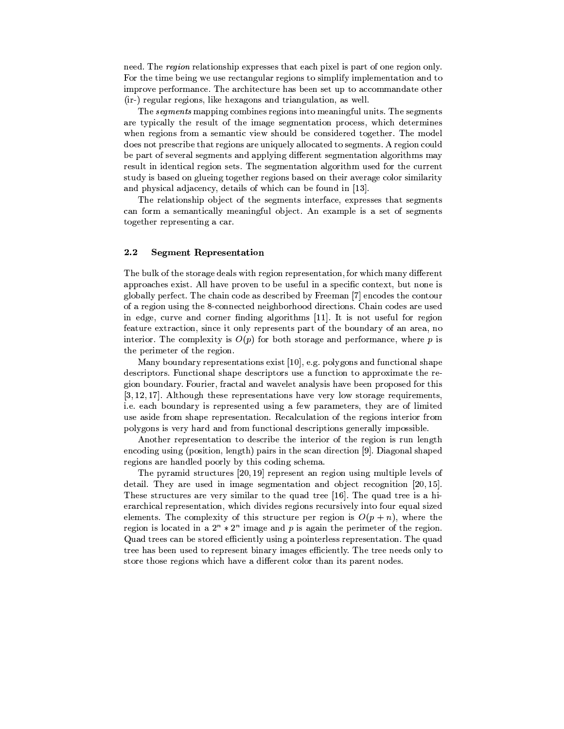need. The region relationship expresses that each pixel is part of one region only. For the time being we use rectangular regions to simplify implementation and to improve performance. The architecture has been set up to accommandate other (ir-) regular regions, like hexagons and triangulation, as well.

The segments mapping combines regions into meaningful units. The segments are typically the result of the image segmentation process, which determines when regions from a semantic view should be considered together. The model does not prescribe that regions are uniquely allocated to segments. A region could be part of several segments and applying different segmentation algorithms may result in identical region sets. The segmentation algorithm used for the current study is based on glueing together regions based on their average color similarity and physical adjacency, details of which can be found in [13].

The relationship object of the segments interface, expresses that segments can form a semantically meaningful object. An example is a set of segments together representing a car.

#### $2.2$ **Segment Representation**

The bulk of the storage deals with region representation, for which many different approaches exist. All have proven to be useful in a specific context, but none is globally perfect. The chain code as described by Freeman [7] encodes the contour of a region using the 8-connected neighborhood directions. Chain codes are used in edge, curve and corner finding algorithms [11]. It is not useful for region feature extraction, since it only represents part of the boundary of an area, no interior. The complexity is  $O(p)$  for both storage and performance, where p is the perimeter of the region.

Many boundary representations exist [10], e.g. polygons and functional shape descriptors. Functional shape descriptors use a function to approximate the region boundary. Fourier, fractal and wavelet analysis have been proposed for this  $[3, 12, 17]$ . Although these representations have very low storage requirements, i.e. each boundary is represented using a few parameters, they are of limited use aside from shape representation. Recalculation of the regions interior from polygons is very hard and from functional descriptions generally impossible.

Another representation to describe the interior of the region is run length encoding using (position, length) pairs in the scan direction [9]. Diagonal shaped regions are handled poorly by this coding schema.

The pyramid structures  $[20, 19]$  represent an region using multiple levels of detail. They are used in image segmentation and object recognition  $[20, 15]$ . These structures are very similar to the quad tree [16]. The quad tree is a hierarchical representation, which divides regions recursively into four equal sized elements. The complexity of this structure per region is  $O(p+n)$ , where the region is located in a  $2^n * 2^n$  image and p is again the perimeter of the region. Quad trees can be stored efficiently using a pointerless representation. The quad tree has been used to represent binary images efficiently. The tree needs only to store those regions which have a different color than its parent nodes.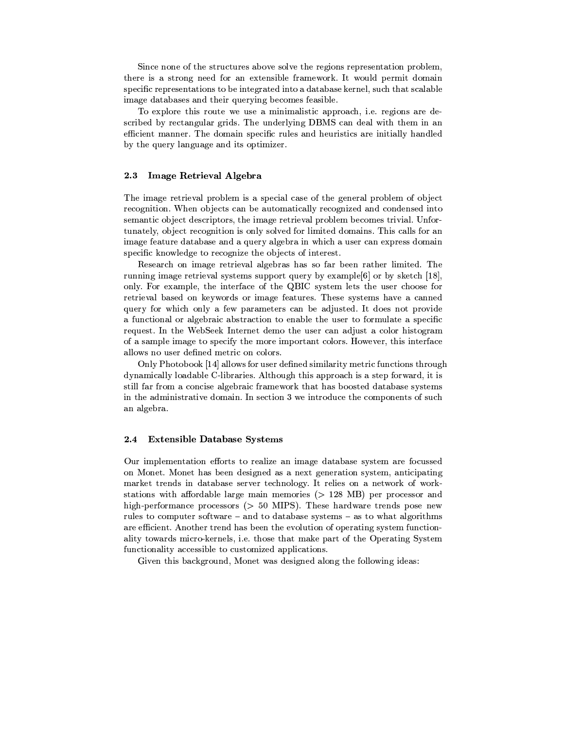Since none of the structures above solve the regions representation problem, there is a strong need for an extensible framework. It would permit domain specific representations to be integrated into a database kernel, such that scalable image databases and their querying becomes feasible.

To explore this route we use a minimalistic approach, i.e. regions are described by rectangular grids. The underlying DBMS can deal with them in an efficient manner. The domain specific rules and heuristics are initially handled by the query language and its optimizer.

#### 2.3 Image Retrieval Algebra

The image retrieval problem is a special case of the general problem of object recognition. When objects can be automatically recognized and condensed into semantic object descriptors, the image retrieval problem becomes trivial. Unfortunately, object recognition is only solved for limited domains. This calls for an image feature database and a query algebra in which a user can express domain specific knowledge to recognize the objects of interest.

Research on image retrieval algebras has so far been rather limited. The running image retrieval systems support query by example<sup>[6]</sup> or by sketch  $[18]$ , only. For example, the interface of the QBIC system lets the user choose for retrieval based on keywords or image features. These systems have a canned query for which only a few parameters can be adjusted. It does not provide a functional or algebraic abstraction to enable the user to formulate a specific request. In the WebSeek Internet demo the user can adjust a color histogram of a sample image to specify the more important colors. However, this interface allows no user defined metric on colors.

Only Photobook [14] allows for user defined similarity metric functions through dynamically loadable C-libraries. Although this approach is a step forward, it is still far from a concise algebraic framework that has boosted database systems in the administrative domain. In section 3 we introduce the components of such an algebra.

#### 2.4 **Extensible Database Systems**

Our implementation efforts to realize an image database system are focussed on Monet. Monet has been designed as a next generation system, anticipating market trends in database server technology. It relies on a network of workstations with affordable large main memories  $(> 128 \text{ MB})$  per processor and high-performance processors  $(> 50$  MIPS). These hardware trends pose new rules to computer software  $-$  and to database systems  $-$  as to what algorithms are efficient. Another trend has been the evolution of operating system functionality towards micro-kernels, i.e. those that make part of the Operating System functionality accessible to customized applications.

Given this background, Monet was designed along the following ideas: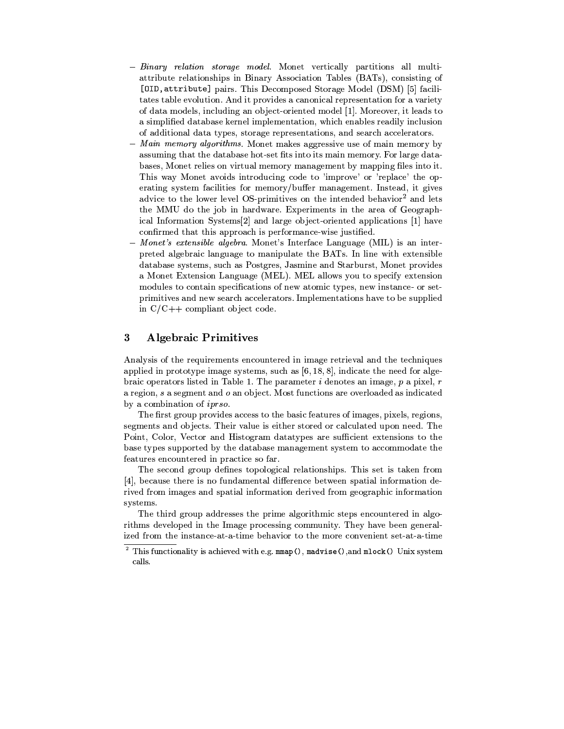- Binary relation storage model. Monet vertically partitions all multiattribute relationships in Binary Association Tables (BATs), consisting of [01D, attribute] pairs. This Decomposed Storage Model (DSM) [5] facilitates table evolution. And it provides a canonical representation for a variety of data models, including an object-oriented model [1]. Moreover, it leads to a simplified database kernel implementation, which enables readily inclusion of additional data types, storage representations, and search accelerators.
- Main memory algorithms. Monet makes aggressive use of main memory by assuming that the database hot-set fits into its main memory. For large databases, Monet relies on virtual memory management by mapping files into it. This way Monet avoids introducing code to 'improve' or 'replace' the operating system facilities for memory/buffer management. Instead, it gives advice to the lower level OS-primitives on the intended behavior<sup>2</sup> and lets the MMU do the job in hardware. Experiments in the area of Geographical Information Systems<sup>[2]</sup> and large object-oriented applications [1] have confirmed that this approach is performance-wise justified.
- Monet's extensible algebra. Monet's Interface Language (MIL) is an interpreted algebraic language to manipulate the BATs. In line with extensible database systems, such as Postgres, Jasmine and Starburst, Monet provides a Monet Extension Language (MEL). MEL allows you to specify extension modules to contain specifications of new atomic types, new instance- or setprimitives and new search accelerators. Implementations have to be supplied in  $C/C++$  compliant object code.

# 3 **Algebraic Primitives**

Analysis of the requirements encountered in image retrieval and the techniques applied in prototype image systems, such as  $[6, 18, 8]$ , indicate the need for algebraic operators listed in Table 1. The parameter i denotes an image, p a pixel, r a region,  $s$  a segment and  $o$  an object. Most functions are overloaded as indicated by a combination of  $iprso$ .

The first group provides access to the basic features of images, pixels, regions. segments and objects. Their value is either stored or calculated upon need. The Point, Color, Vector and Histogram data types are sufficient extensions to the base types supported by the database management system to accommodate the features encountered in practice so far.

The second group defines topological relationships. This set is taken from [4], because there is no fundamental difference between spatial information derived from images and spatial information derived from geographic information systems.

The third group addresses the prime algorithmic steps encountered in algorithms developed in the Image processing community. They have been generalized from the instance-at-a-time behavior to the more convenient set-at-a-time

<sup>&</sup>lt;sup>2</sup> This functionality is achieved with e.g.  $mmap()$ ,  $madvise()$ , and  $mlock()$  Unix system calls.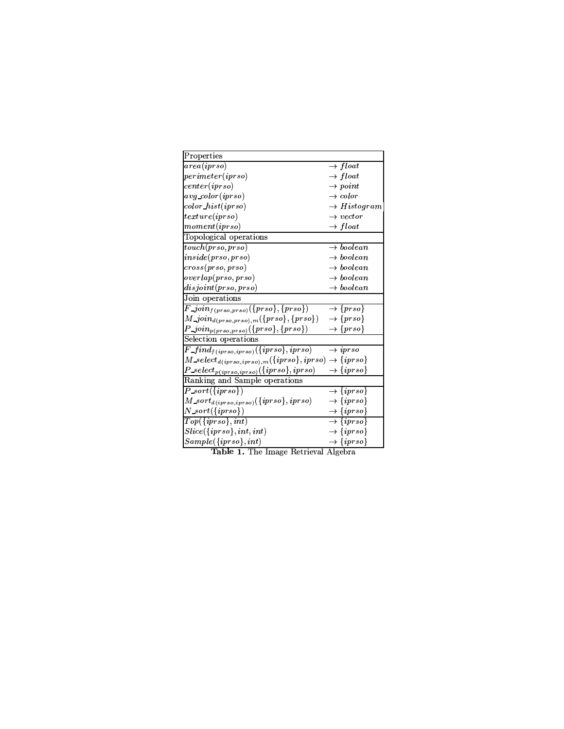| Properties                                                                     |                                |
|--------------------------------------------------------------------------------|--------------------------------|
| area(iprso)                                                                    | $\rightarrow$ float            |
| perimeter(iprso)                                                               | $\rightarrow$ float            |
| center(iprso)                                                                  | $\rightarrow$ point            |
| $avg\ color(iprso)$                                                            | $\rightarrow$ color            |
| $color\_hist(iprso)$                                                           | $\rightarrow Histogram$        |
| $\emph{teture}(iprso)$                                                         | $\rightarrow vector$           |
| moment(iprso)                                                                  | $\rightarrow$ float            |
| Topological operations                                                         |                                |
| $\overline{touch (pro, prso)}$                                                 | $\rightarrow boolean$          |
| inside (pro, pres)                                                             | $\rightarrow boolean$          |
| cross(prso, prso)                                                              | $\rightarrow \textit{boolean}$ |
| overlap (pro, prso)                                                            | $\rightarrow boolean$          |
| disjoint(prso, prso)                                                           | $\rightarrow boolean$          |
| Join operations                                                                |                                |
| $F\_join_{f(prso,pro)}(\lbrace prso \rbrace, \overline{\lbrace prso \rbrace})$ | $\rightarrow$ {prso}           |
| $M\_join_{d(prso, prso), m}(\{prso\}, \{prso\})$                               | $\rightarrow$ {prso}           |
| $P\_join_{p(prso,pro)}(\{pro\},\{pro\})$                                       | $\rightarrow$ {prso}           |
| Selection operations                                                           |                                |
| $F\_find_{f(iprso,iprso)}(\{iprso\},iprso)$                                    | $\rightarrow iprso$            |
| $M\_select_{d(iprso,iprso),m}(\{iprso\},iprso) \rightarrow \{iprso\}$          |                                |
| $P\_select_{p(iprso,iprso)}(\{iprso\},iprso)$                                  | $\rightarrow$ {iprso}          |
| Ranking and Sample operations                                                  |                                |
| $\overline{P\text{-}sort(\{iprso\})}$                                          | $\rightarrow$ { <i>iprso</i> } |
| $M\_sort_{d(iprso,iprso)}(\{iprso\},iprso)$                                    | $\rightarrow$ {iprso}          |
| $N\_sort(\{iprso\})$                                                           | $\rightarrow \{iprso\}$        |
| $Top(\lbrace iprso \rbrace, int)$                                              | $\rightarrow$ { <i>iprso</i> } |
| $Slice({\{iprso\}}, {int}, {int})$                                             | $\rightarrow$ { <i>iprso</i> } |
| $Sample({\{iprso\}, int})$                                                     | $\rightarrow$ {iprso}          |

Table 1. The Image Retrieval Algebra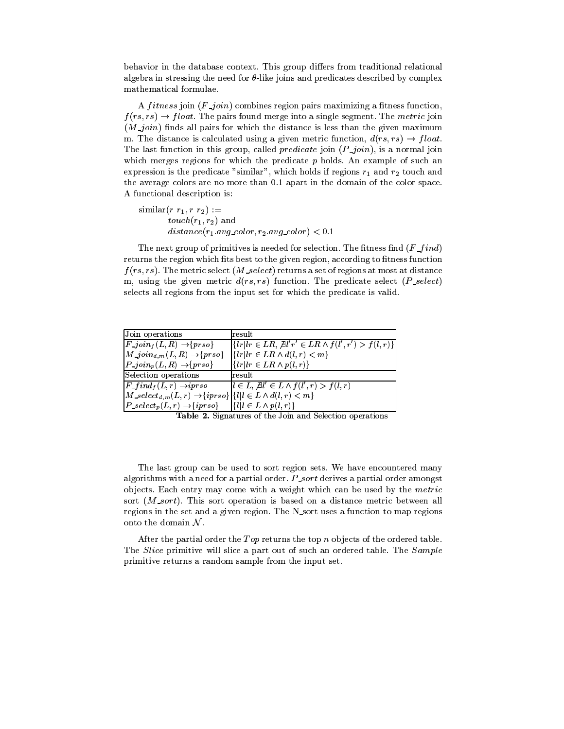behavior in the database context. This group differs from traditional relational algebra in stressing the need for  $\theta$ -like joins and predicates described by complex mathematical formulae.

A *fitness* join  $(F_j \circ in)$  combines region pairs maximizing a fitness function,  $f(rs, rs) \rightarrow float$ . The pairs found merge into a single segment. The metric join  $(M\_join)$  finds all pairs for which the distance is less than the given maximum m. The distance is calculated using a given metric function,  $d(rs, rs) \rightarrow float$ . The last function in this group, called *predicate* join  $(P_join)$ , is a normal join which merges regions for which the predicate  $p$  holds. An example of such an expression is the predicate "similar", which holds if regions  $r_1$  and  $r_2$  touch and the average colors are no more than 0.1 apart in the domain of the color space. A functional description is:

```
\operatorname{similar}(r r_1, r r_2) :=touch(r_1, r_2) and
         distance(r_1. avg\_color, r_2. avg\_color) < 0.1
```
The next group of primitives is needed for selection. The fitness find  $(F\_find)$ returns the region which fits best to the given region, according to fitness function  $f(rs, rs)$ . The metric select (M\_select) returns a set of regions at most at distance m, using the given metric  $d(rs, rs)$  function. The predicate select  $(P\_select)$ selects all regions from the input set for which the predicate is valid.

| Join operations                                                                  | $_{\mathrm{result}}$                                                                                                      |
|----------------------------------------------------------------------------------|---------------------------------------------------------------------------------------------------------------------------|
| $F\_{join_f(L, R) \rightarrow \{pro\}$                                           | $\left[ \left\{ \ln \left  \ln \epsilon L R, \mathcal{A} \right ' r' \in \overline{L} R \wedge f(l',r') \right\} \right]$ |
| $M\_join_{d,m}(L,R) \rightarrow \{pro\}$                                         | $\left \left\{l r \middle  l r \in LR \wedge d(l, r) < m\right\}\right $                                                  |
| $P\_{join_p}(L, R) \rightarrow \{pro\}$                                          | $\{lr lr \in LR \wedge p(l,r)\}\$                                                                                         |
| Selection operations                                                             | result                                                                                                                    |
| $F\_find_f(L, r) \rightarrow iprso$                                              | $\overline{l \in L}, \, \overline{\beta}l' \in L \wedge f(l',r) > f(l,r)$                                                 |
| $M\_select_{d,m}(L,r) \rightarrow \{iprso\}   \{l   l \in L \wedge d(l,r) < m\}$ |                                                                                                                           |
| $ P\_select_p(L, r) \rightarrow \{iprso\} $                                      | $\{l   l \in L \wedge p(l, r)\}\$                                                                                         |

Table 2. Signatures of the Join and Selection operations

The last group can be used to sort region sets. We have encountered many algorithms with a need for a partial order. P\_sort derives a partial order amongst objects. Each entry may come with a weight which can be used by the metric sort  $(M_{\mathcal{A}}^{f}$  ort. This sort operation is based on a distance metric between all regions in the set and a given region. The N\_sort uses a function to map regions onto the domain  $N$ .

After the partial order the  $Top$  returns the top n objects of the ordered table. The Slice primitive will slice a part out of such an ordered table. The Sample primitive returns a random sample from the input set.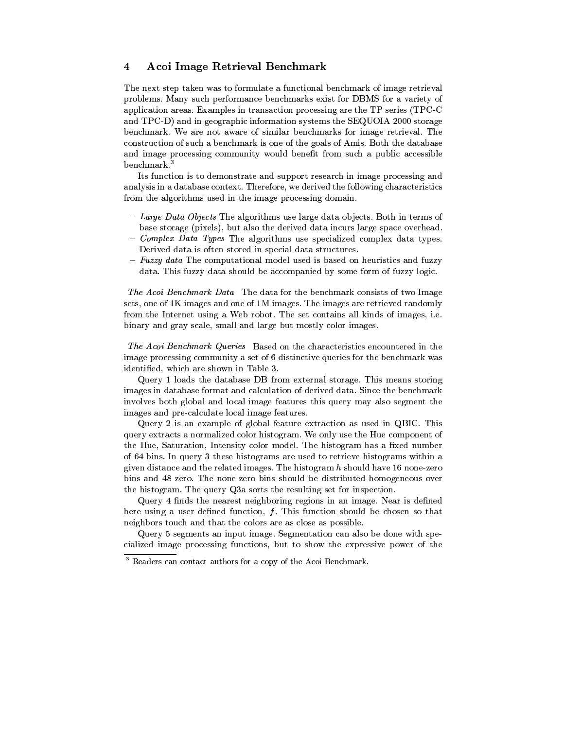# $\overline{\mathbf{4}}$ Acoi Image Retrieval Benchmark

The next step taken was to formulate a functional benchmark of image retrieval problems. Many such performance benchmarks exist for DBMS for a variety of application areas. Examples in transaction processing are the TP series (TPC-C) and TPC-D) and in geographic information systems the SEQUOIA 2000 storage benchmark. We are not aware of similar benchmarks for image retrieval. The construction of such a benchmark is one of the goals of Amis. Both the database and image processing community would benefit from such a public accessible benchmark.<sup>3</sup>

Its function is to demonstrate and support research in image processing and analysis in a database context. Therefore, we derived the following characteristics from the algorithms used in the image processing domain.

- $-$  Large Data Objects The algorithms use large data objects. Both in terms of base storage (pixels), but also the derived data incurs large space overhead.
- $-$  Complex Data Types The algorithms use specialized complex data types. Derived data is often stored in special data structures.
- Fuzzy data The computational model used is based on heuristics and fuzzy data. This fuzzy data should be accompanied by some form of fuzzy logic.

The Acoi Benchmark Data The data for the benchmark consists of two Image sets, one of 1K images and one of 1M images. The images are retrieved randomly from the Internet using a Web robot. The set contains all kinds of images, i.e. binary and gray scale, small and large but mostly color images.

*The Acoi Benchmark Queries* Based on the characteristics encountered in the image processing community a set of 6 distinctive queries for the benchmark was identified, which are shown in Table 3.

Query 1 loads the database DB from external storage. This means storing images in database format and calculation of derived data. Since the benchmark involves both global and local image features this query may also segment the images and pre-calculate local image features.

Query 2 is an example of global feature extraction as used in QBIC. This query extracts a normalized color histogram. We only use the Hue component of the Hue, Saturation, Intensity color model. The histogram has a fixed number of 64 bins. In query 3 these histograms are used to retrieve histograms within a given distance and the related images. The histogram  $h$  should have 16 none-zero bins and 48 zero. The none-zero bins should be distributed homogeneous over the histogram. The query Q3a sorts the resulting set for inspection.

Query 4 finds the nearest neighboring regions in an image. Near is defined here using a user-defined function,  $f$ . This function should be chosen so that neighbors touch and that the colors are as close as possible.

Query 5 segments an input image. Segmentation can also be done with specialized image processing functions, but to show the expressive power of the

<sup>&</sup>lt;sup>3</sup> Readers can contact authors for a copy of the Acoi Benchmark.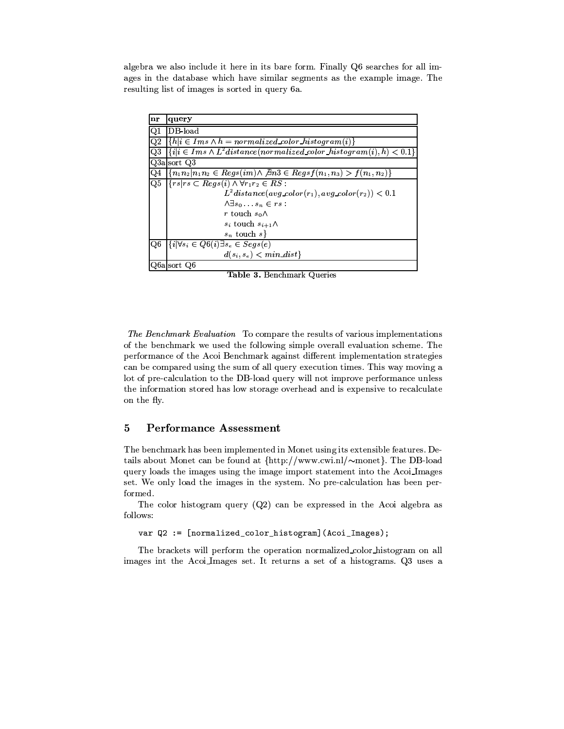algebra we also include it here in its bare form. Finally Q6 searches for all images in the database which have similar segments as the example image. The resulting list of images is sorted in query 6a.

| n r | query                                                                                     |
|-----|-------------------------------------------------------------------------------------------|
| Q1  | DB load                                                                                   |
|     | $Q2 \ \left\{ \{h i \in Im s \wedge h = normalized\ color\ histogram(i)\} \right\}$       |
|     | Q3 $\{i i \in Ims \wedge L^2distance(normalized\_color\textit{ histogram}(i), h) < 0.1\}$ |
|     | Q3alsort Q3                                                                               |
| Q4  | $\{n_1n_2 n_1n_2 \in Regs(im) \wedge \text{Ans } \in Regs f(n_1, n_3) > f(n_1, n_2)\}\$   |
| Q5  | $\left \{rs rs \subset Regs(i) \wedge \forall r_1r_2 \in \overline{RS}:\right\}\right $   |
|     | $L^2$ distance (avg_color(r <sub>1</sub> ), avg_color(r <sub>2</sub> )) < 0.1             |
|     | $\wedge \exists s_0 \ldots s_n \in rs$ :                                                  |
|     | r touch $s_0 \wedge$                                                                      |
|     | $s_i$ touch $s_{i+1}$ $\wedge$                                                            |
|     | $s_n$ touch $s$ }                                                                         |
| Q6  | $\{i \forall s_i \in Q6(i)\exists s_e \in Segs(e)\}$                                      |
|     | $d(s_i, s_e) < min\_dist$                                                                 |
|     | Q6a sort Q6                                                                               |

Table 3. Benchmark Queries

The Benchmark Evaluation To compare the results of various implementations of the benchmark we used the following simple overall evaluation scheme. The performance of the Acoi Benchmark against different implementation strategies can be compared using the sum of all query execution times. This way moving a lot of pre-calculation to the DB-load query will not improve performance unless the information stored has low storage overhead and is expensive to recalculate on the fly.

# $\overline{5}$ **Performance Assessment**

The benchmark has been implemented in Monet using its extensible features. Details about Monet can be found at {http://www.cwi.nl/~monet}. The DB-load query loads the images using the image import statement into the Acoi\_Images set. We only load the images in the system. No pre-calculation has been performed.

The color histogram query  $(Q2)$  can be expressed in the Acoi algebra as follows:

var Q2 := [normalized\_color\_histogram](Acoi\_Images);

The brackets will perform the operation normalized color histogram on all images int the Acoi Images set. It returns a set of a histograms. Q3 uses a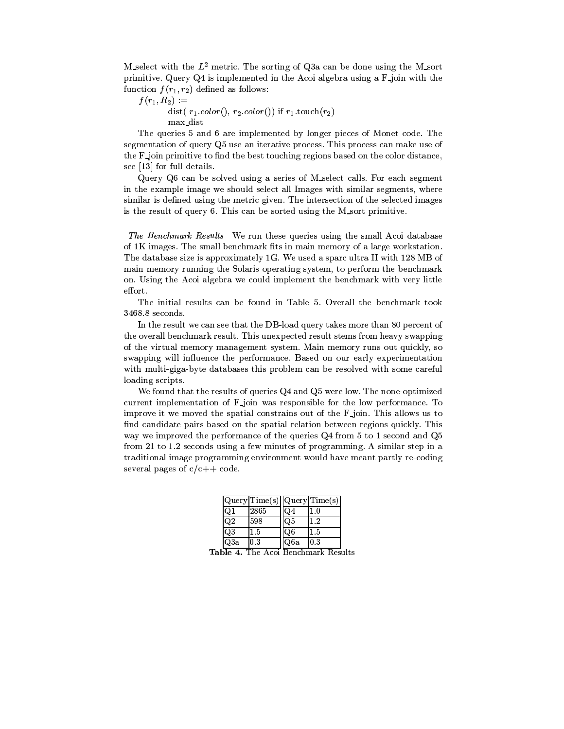M select with the  $L^2$  metric. The sorting of Q3a can be done using the M sort primitive. Query  $Q4$  is implemented in the Acoi algebra using a  $F$ -join with the function  $f(r_1, r_2)$  defined as follows:

$$
(r_1, R_2) :=
$$
  
dist( $r_1$ .color(),  $r_2$ .color()) if  $r_1$ .touch( $r_2$ )  
max\_dist

 $\boldsymbol{f}$ 

The queries 5 and 6 are implemented by longer pieces of Monet code. The segmentation of query Q5 use an iterative process. This process can make use of the F<sub>right</sub> primitive to find the best touching regions based on the color distance, see [13] for full details.

Query Q6 can be solved using a series of M\_select calls. For each segment in the example image we should select all Images with similar segments, where similar is defined using the metric given. The intersection of the selected images is the result of query 6. This can be sorted using the M\_sort primitive.

*The Benchmark Results* We run these queries using the small Acoi database of 1K images. The small benchmark fits in main memory of a large workstation. The database size is approximately 1G. We used a sparc ultra II with 128 MB of main memory running the Solaris operating system, to perform the benchmark on. Using the Acoi algebra we could implement the benchmark with very little effort.

The initial results can be found in Table 5. Overall the benchmark took 3468.8 seconds.

In the result we can see that the DB-load query takes more than 80 percent of the overall benchmark result. This unexpected result stems from heavy swapping of the virtual memory management system. Main memory runs out quickly, so swapping will influence the performance. Based on our early experimentation with multi-giga-byte databases this problem can be resolved with some careful loading scripts.

We found that the results of queries Q4 and Q5 were low. The none-optimized current implementation of F-join was responsible for the low performance. To improve it we moved the spatial constrains out of the F-join. This allows us to find candidate pairs based on the spatial relation between regions quickly. This way we improved the performance of the queries Q4 from 5 to 1 second and Q5 from 21 to 1.2 seconds using a few minutes of programming. A similar step in a traditional image programming environment would have meant partly re-coding several pages of  $c/c++$  code.

|          | Query Time(s)  Query Time(s) |     |      |
|----------|------------------------------|-----|------|
|          | 2865                         |     | . .0 |
| $\Omega$ | 598                          | Э5  |      |
| Q3       | - 5                          | Э6  | . 5  |
| Q3a      | 0.3                          | 26a | 0.3  |

Table 4. The Acoi Benchmark Results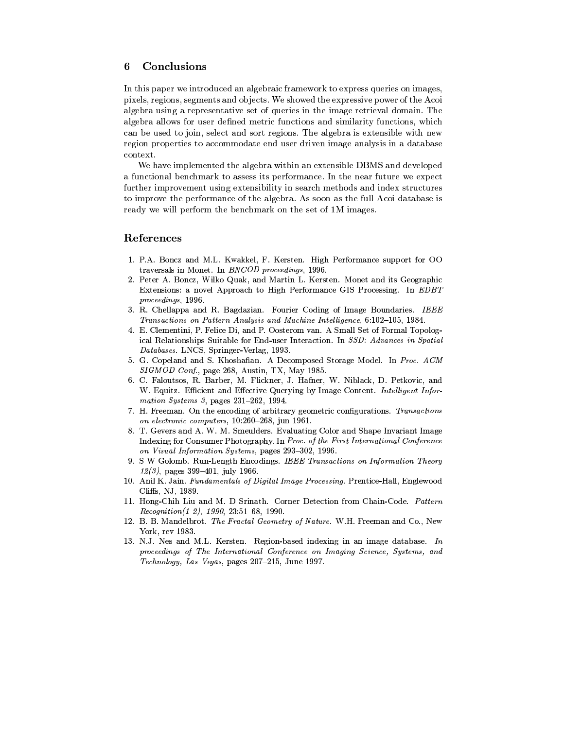# Conclusions 6

In this paper we introduced an algebraic framework to express queries on images, pixels, regions, segments and objects. We showed the expressive power of the Acoi algebra using a representative set of queries in the image retrieval domain. The algebra allows for user defined metric functions and similarity functions, which can be used to join, select and sort regions. The algebra is extensible with new region properties to accommodate end user driven image analysis in a database context.

We have implemented the algebra within an extensible DBMS and developed a functional benchmark to assess its performance. In the near future we expect further improvement using extensibility in search methods and index structures to improve the performance of the algebra. As soon as the full Acoi database is ready we will perform the benchmark on the set of 1M images.

# References

- 1. P.A. Boncz and M.L. Kwakkel, F. Kersten. High Performance support for OO traversals in Monet. In BNCOD proceedings, 1996.
- 2. Peter A. Boncz, Wilko Quak, and Martin L. Kersten. Monet and its Geographic Extensions: a novel Approach to High Performance GIS Processing. In EDBT proceedings, 1996.
- 3. R. Chellappa and R. Bagdazian. Fourier Coding of Image Boundaries. IEEE Transactions on Pattern Analysis and Machine Intelligence, 6:102-105, 1984.
- 4. E. Clementini, P. Felice Di, and P. Oosterom van. A Small Set of Formal Topological Relationships Suitable for End-user Interaction. In SSD: Advances in Spatial Databases. LNCS, Springer-Verlag, 1993.
- 5. G. Copeland and S. Khoshafian. A Decomposed Storage Model. In Proc. ACM SIGMOD Conf., page 268, Austin, TX, May 1985.
- 6. C. Faloutsos, R. Barber, M. Flickner, J. Hafner, W. Niblack, D. Petkovic, and W. Equitz. Efficient and Effective Querying by Image Content. Intelligent Information Systems 3, pages 231-262, 1994.
- 7. H. Freeman. On the encoding of arbitrary geometric configurations. Transactions on electronic computers, 10:260-268, jun 1961.
- 8. T. Gevers and A. W. M. Smeulders. Evaluating Color and Shape Invariant Image Indexing for Consumer Photography. In Proc. of the First International Conference on Visual Information Systems, pages 293-302, 1996.
- 9. S W Golomb. Run-Length Encodings. IEEE Transactions on Information Theory  $12(3)$ , pages 399-401, july 1966.
- 10. Anil K. Jain. Fundamentals of Digital Image Processing. Prentice-Hall, Englewood Cliffs, NJ, 1989.
- 11. Hong-Chih Liu and M. D Srinath. Corner Detection from Chain-Code. Pattern  $Reognition (1-2), 1990, 23:51-68, 1990.$
- 12. B. B. Mandelbrot. The Fractal Geometry of Nature. W.H. Freeman and Co., New York, rev 1983.
- 13. N.J. Nes and M.L. Kersten. Region-based indexing in an image database. In proceedings of The International Conference on Imaging Science, Systems, and Technology, Las Vegas, pages 207-215, June 1997.